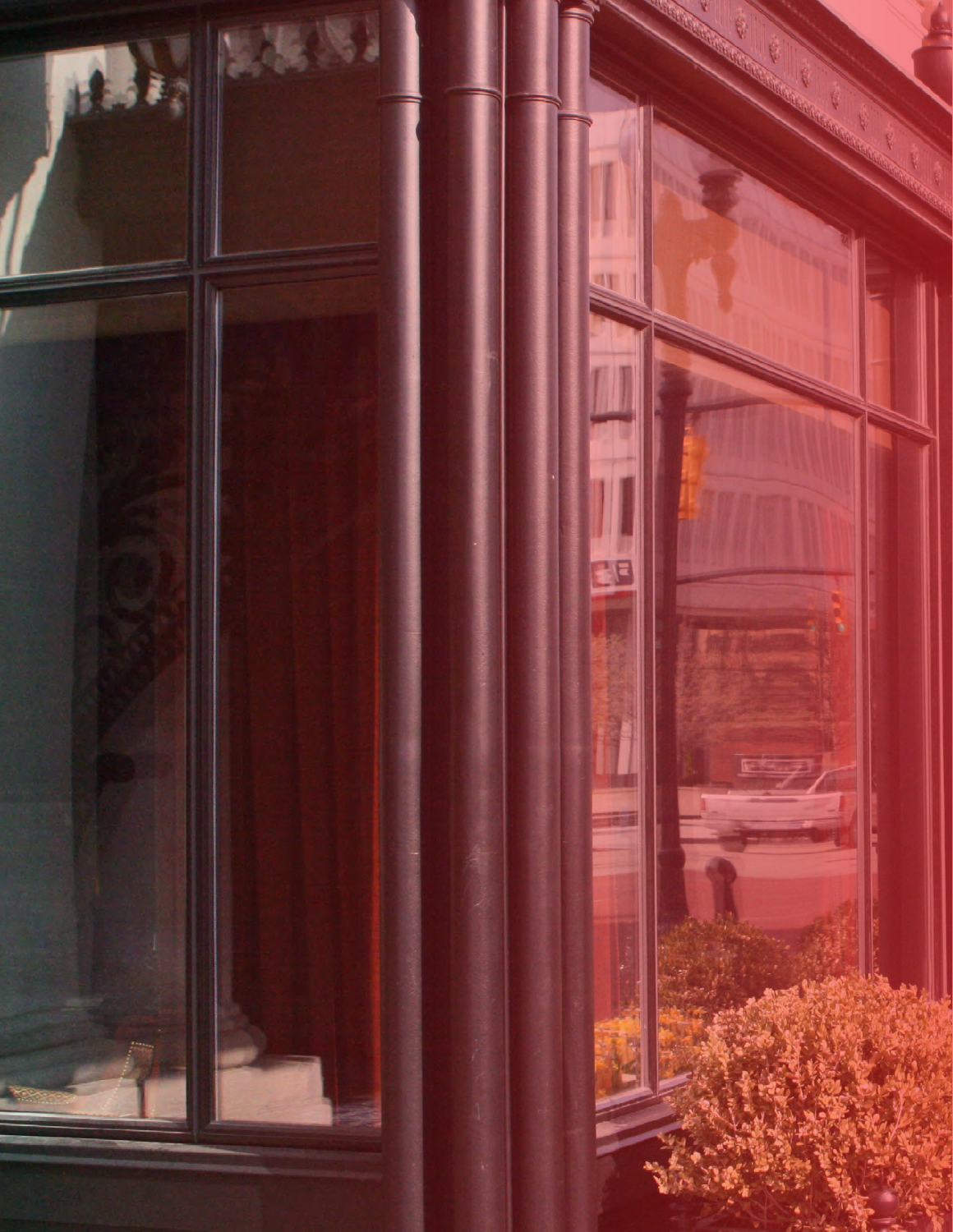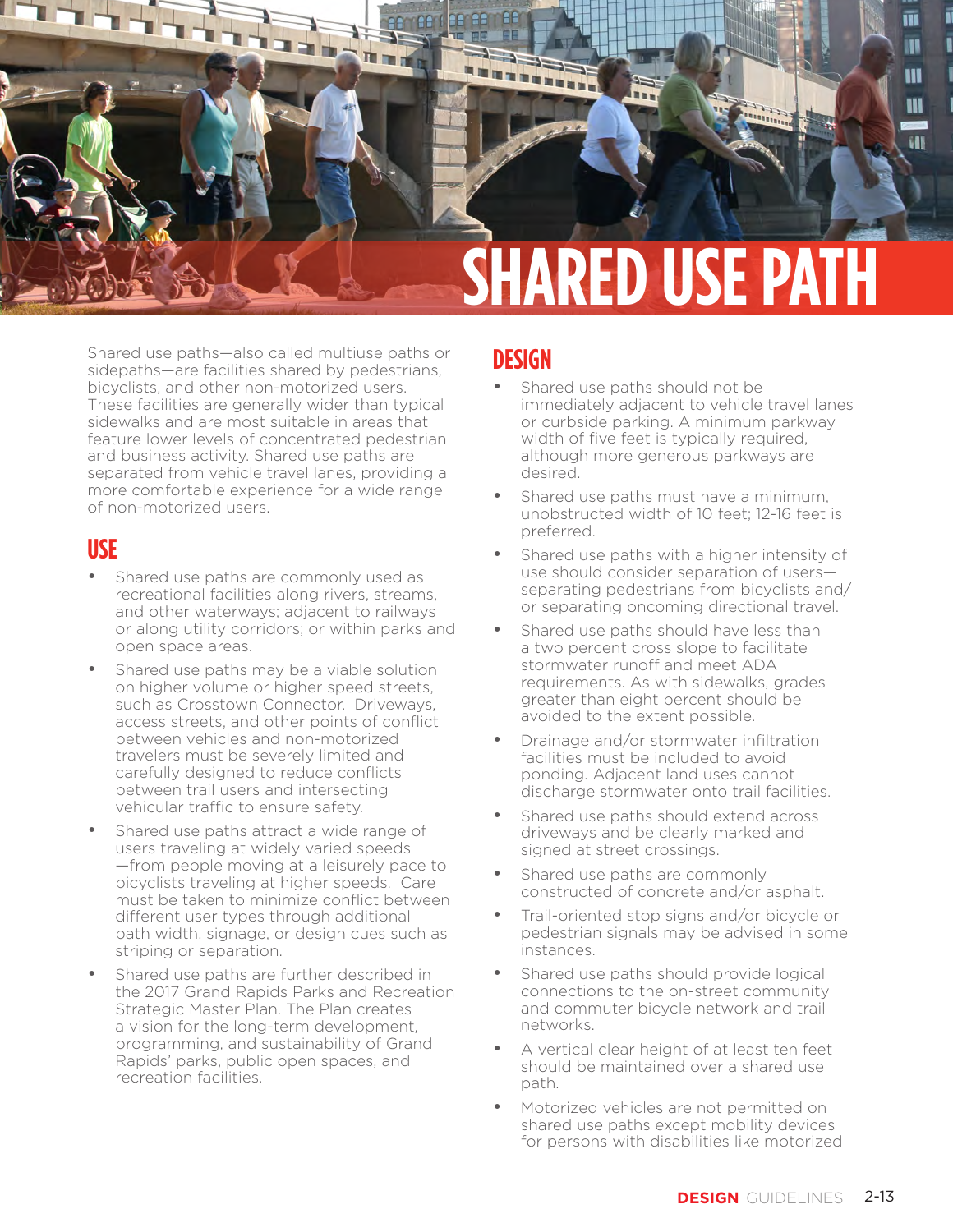

Shared use paths—also called multiuse paths or sidepaths—are facilities shared by pedestrians, bicyclists, and other non-motorized users. These facilities are generally wider than typical sidewalks and are most suitable in areas that feature lower levels of concentrated pedestrian and business activity. Shared use paths are separated from vehicle travel lanes, providing a more comfortable experience for a wide range of non-motorized users.

#### **USE**

- Shared use paths are commonly used as recreational facilities along rivers, streams, and other waterways; adjacent to railways or along utility corridors; or within parks and open space areas.
- Shared use paths may be a viable solution on higher volume or higher speed streets, such as Crosstown Connector. Driveways, access streets, and other points of conflict between vehicles and non-motorized travelers must be severely limited and carefully designed to reduce conflicts between trail users and intersecting vehicular traffic to ensure safety.
- Shared use paths attract a wide range of users traveling at widely varied speeds —from people moving at a leisurely pace to bicyclists traveling at higher speeds. Care must be taken to minimize conflict between different user types through additional path width, signage, or design cues such as striping or separation.
- Shared use paths are further described in the 2017 Grand Rapids Parks and Recreation Strategic Master Plan. The Plan creates a vision for the long-term development, programming, and sustainability of Grand Rapids' parks, public open spaces, and recreation facilities.

# **DESIGN**

- Shared use paths should not be immediately adjacent to vehicle travel lanes or curbside parking. A minimum parkway width of five feet is typically required. although more generous parkways are desired.
- Shared use paths must have a minimum. unobstructed width of 10 feet; 12-16 feet is preferred.
- Shared use paths with a higher intensity of use should consider separation of users separating pedestrians from bicyclists and/ or separating oncoming directional travel.
- Shared use paths should have less than a two percent cross slope to facilitate stormwater runoff and meet ADA requirements. As with sidewalks, grades greater than eight percent should be avoided to the extent possible.
- Drainage and/or stormwater infiltration facilities must be included to avoid ponding. Adjacent land uses cannot discharge stormwater onto trail facilities.
- Shared use paths should extend across driveways and be clearly marked and signed at street crossings.
- Shared use paths are commonly constructed of concrete and/or asphalt.
- Trail-oriented stop signs and/or bicycle or pedestrian signals may be advised in some instances.
- Shared use paths should provide logical connections to the on-street community and commuter bicycle network and trail networks.
- A vertical clear height of at least ten feet should be maintained over a shared use path.
- Motorized vehicles are not permitted on shared use paths except mobility devices for persons with disabilities like motorized